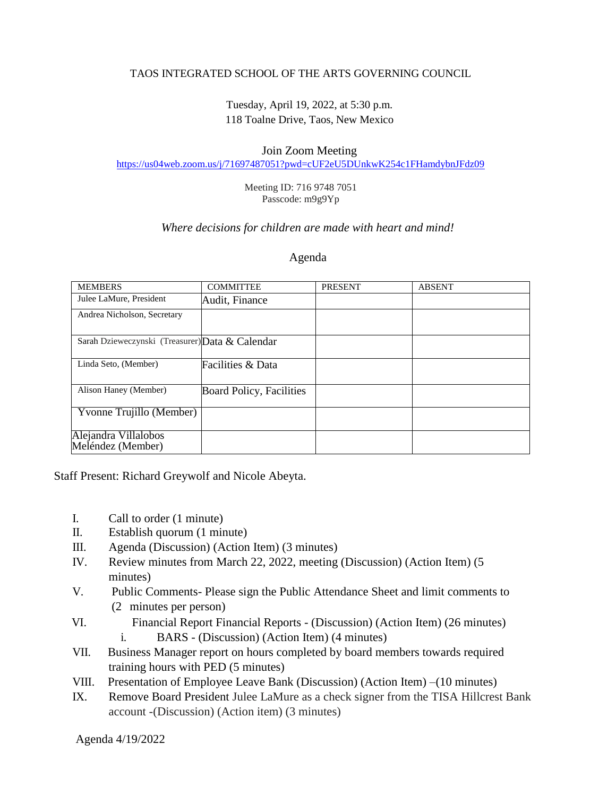## TAOS INTEGRATED SCHOOL OF THE ARTS GOVERNING COUNCIL

# Tuesday, April 19, 2022, at 5:30 p.m. 118 Toalne Drive, Taos, New Mexico

### Join Zoom Meeting

<https://us04web.zoom.us/j/71697487051?pwd=cUF2eU5DUnkwK254c1FHamdybnJFdz09>

Meeting ID: 716 9748 7051 Passcode: m9g9Yp

#### *Where decisions for children are made with heart and mind!*

#### Agenda

| <b>MEMBERS</b>                                  | <b>COMMITTEE</b>         | <b>PRESENT</b> | <b>ABSENT</b> |
|-------------------------------------------------|--------------------------|----------------|---------------|
| Julee LaMure, President                         | Audit, Finance           |                |               |
| Andrea Nicholson, Secretary                     |                          |                |               |
| Sarah Dzieweczynski (Treasurer) Data & Calendar |                          |                |               |
| Linda Seto, (Member)                            | Facilities & Data        |                |               |
| Alison Haney (Member)                           | Board Policy, Facilities |                |               |
| Yvonne Trujillo (Member)                        |                          |                |               |
| Alejandra Villalobos<br>Meléndez (Member)       |                          |                |               |

Staff Present: Richard Greywolf and Nicole Abeyta.

- I. Call to order (1 minute)
- II. Establish quorum (1 minute)
- III. Agenda (Discussion) (Action Item) (3 minutes)
- IV. Review minutes from March 22, 2022, meeting (Discussion) (Action Item) (5 minutes)
- V. Public Comments- Please sign the Public Attendance Sheet and limit comments to (2 minutes per person)
- VI. Financial Report Financial Reports (Discussion) (Action Item) (26 minutes)
	- i. BARS (Discussion) (Action Item) (4 minutes)
- VII. Business Manager report on hours completed by board members towards required training hours with PED (5 minutes)
- VIII. Presentation of Employee Leave Bank (Discussion) (Action Item) –(10 minutes)
- IX. Remove Board President Julee LaMure as a check signer from the TISA Hillcrest Bank account -(Discussion) (Action item) (3 minutes)

Agenda 4/19/2022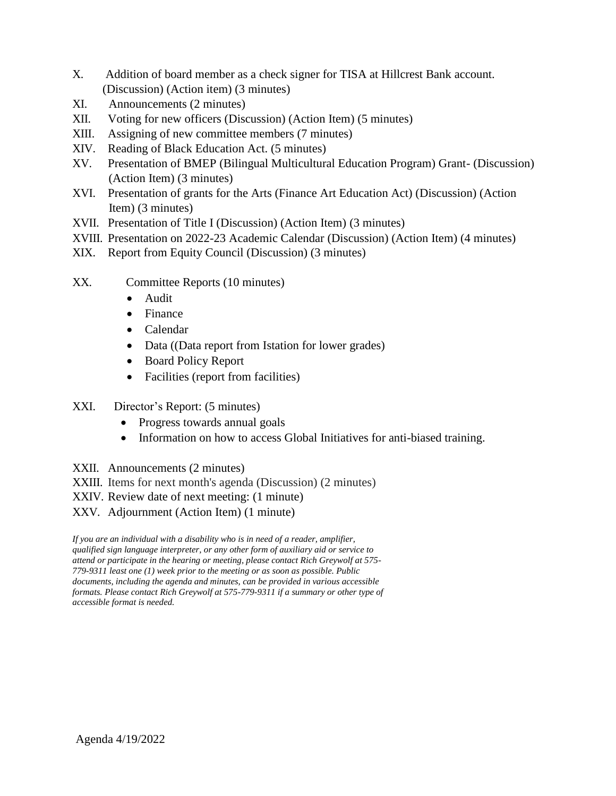- X. Addition of board member as a check signer for TISA at Hillcrest Bank account. (Discussion) (Action item) (3 minutes)
- XI. Announcements (2 minutes)
- XII. Voting for new officers (Discussion) (Action Item) (5 minutes)
- XIII. Assigning of new committee members (7 minutes)
- XIV. Reading of Black Education Act. (5 minutes)
- XV. Presentation of BMEP (Bilingual Multicultural Education Program) Grant- (Discussion) (Action Item) (3 minutes)
- XVI. Presentation of grants for the Arts (Finance Art Education Act) (Discussion) (Action Item) (3 minutes)
- XVII. Presentation of Title I (Discussion) (Action Item) (3 minutes)
- XVIII. Presentation on 2022-23 Academic Calendar (Discussion) (Action Item) (4 minutes)
- XIX. Report from Equity Council (Discussion) (3 minutes)
- XX. Committee Reports (10 minutes)
	- Audit
	- Finance
	- Calendar
	- Data ((Data report from Istation for lower grades)
	- Board Policy Report
	- Facilities (report from facilities)
- XXI. Director's Report: (5 minutes)
	- Progress towards annual goals
	- Information on how to access Global Initiatives for anti-biased training.
- XXII. Announcements (2 minutes)
- XXIII. Items for next month's agenda (Discussion) (2 minutes)
- XXIV. Review date of next meeting: (1 minute)
- XXV. Adjournment (Action Item) (1 minute)

*If you are an individual with a disability who is in need of a reader, amplifier, qualified sign language interpreter, or any other form of auxiliary aid or service to attend or participate in the hearing or meeting, please contact Rich Greywolf at 575- 779-9311 least one (1) week prior to the meeting or as soon as possible. Public documents, including the agenda and minutes, can be provided in various accessible formats. Please contact Rich Greywolf at 575-779-9311 if a summary or other type of accessible format is needed.*